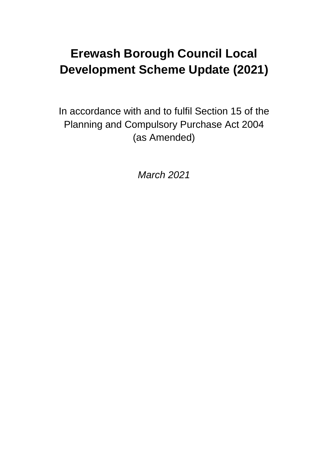# **Erewash Borough Council Local Development Scheme Update (2021)**

In accordance with and to fulfil Section 15 of the Planning and Compulsory Purchase Act 2004 (as Amended)

*March 2021*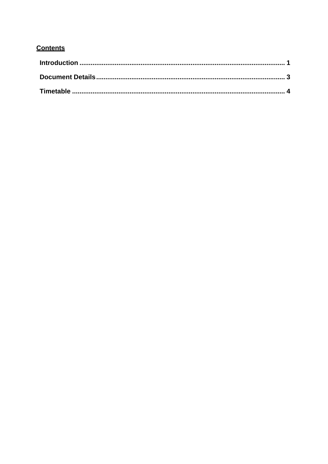## **Contents**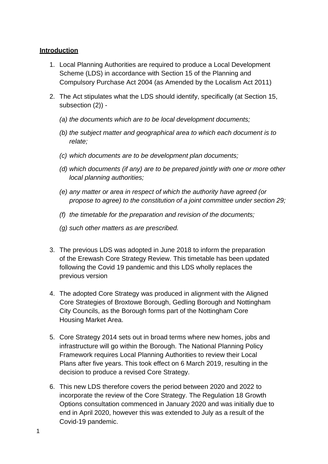#### <span id="page-2-0"></span>**Introduction**

- 1. Local Planning Authorities are required to produce a Local Development Scheme (LDS) in accordance with Section 15 of the Planning and Compulsory Purchase Act 2004 (as Amended by the Localism Act 2011)
- 2. The Act stipulates what the LDS should identify, specifically (at Section 15, subsection (2)) -
	- *(a) the documents which are to be local development documents;*
	- *(b) the subject matter and geographical area to which each document is to relate;*
	- *(c) which documents are to be development plan documents;*
	- *(d) which documents (if any) are to be prepared jointly with one or more other local planning authorities;*
	- *(e) any matter or area in respect of which the authority have agreed (or propose to agree) to the constitution of a joint committee under section 29;*
	- *(f) the timetable for the preparation and revision of the documents;*
	- *(g) such other matters as are prescribed.*
- 3. The previous LDS was adopted in June 2018 to inform the preparation of the Erewash Core Strategy Review. This timetable has been updated following the Covid 19 pandemic and this LDS wholly replaces the previous version
- 4. The adopted Core Strategy was produced in alignment with the Aligned Core Strategies of Broxtowe Borough, Gedling Borough and Nottingham City Councils, as the Borough forms part of the Nottingham Core Housing Market Area.
- 5. Core Strategy 2014 sets out in broad terms where new homes, jobs and infrastructure will go within the Borough. The National Planning Policy Framework requires Local Planning Authorities to review their Local Plans after five years. This took effect on 6 March 2019, resulting in the decision to produce a revised Core Strategy.
- 6. This new LDS therefore covers the period between 2020 and 2022 to incorporate the review of the Core Strategy. The Regulation 18 Growth Options consultation commenced in January 2020 and was initially due to end in April 2020, however this was extended to July as a result of the Covid-19 pandemic.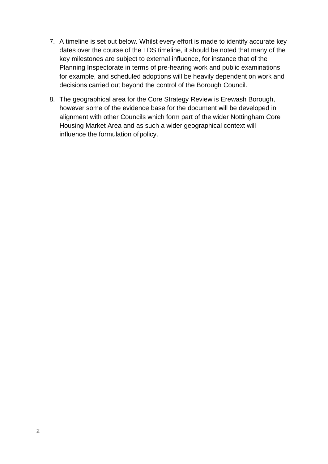- 7. A timeline is set out below. Whilst every effort is made to identify accurate key dates over the course of the LDS timeline, it should be noted that many of the key milestones are subject to external influence, for instance that of the Planning Inspectorate in terms of pre-hearing work and public examinations for example, and scheduled adoptions will be heavily dependent on work and decisions carried out beyond the control of the Borough Council.
- 8. The geographical area for the Core Strategy Review is Erewash Borough, however some of the evidence base for the document will be developed in alignment with other Councils which form part of the wider Nottingham Core Housing Market Area and as such a wider geographical context will influence the formulation ofpolicy.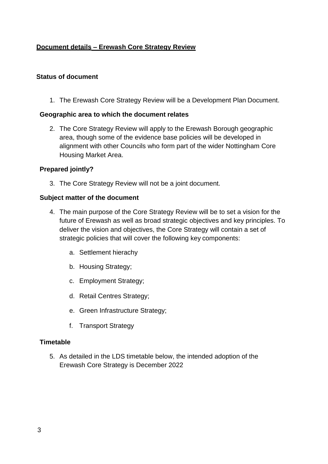### **Document details – Erewash Core Strategy Review**

#### **Status of document**

1. The Erewash Core Strategy Review will be a Development Plan Document.

#### <span id="page-4-0"></span>**Geographic area to which the document relates**

2. The Core Strategy Review will apply to the Erewash Borough geographic area, though some of the evidence base policies will be developed in alignment with other Councils who form part of the wider Nottingham Core Housing Market Area.

#### <span id="page-4-1"></span>**Prepared jointly?**

3. The Core Strategy Review will not be a joint document.

#### **Subject matter of the document**

- 4. The main purpose of the Core Strategy Review will be to set a vision for the future of Erewash as well as broad strategic objectives and key principles. To deliver the vision and objectives, the Core Strategy will contain a set of strategic policies that will cover the following key components:
	- a. Settlement hierachy
	- b. Housing Strategy;
	- c. Employment Strategy;
	- d. Retail Centres Strategy;
	- e. Green Infrastructure Strategy;
	- f. Transport Strategy

#### **Timetable**

5. As detailed in the LDS timetable below, the intended adoption of the Erewash Core Strategy is December 2022